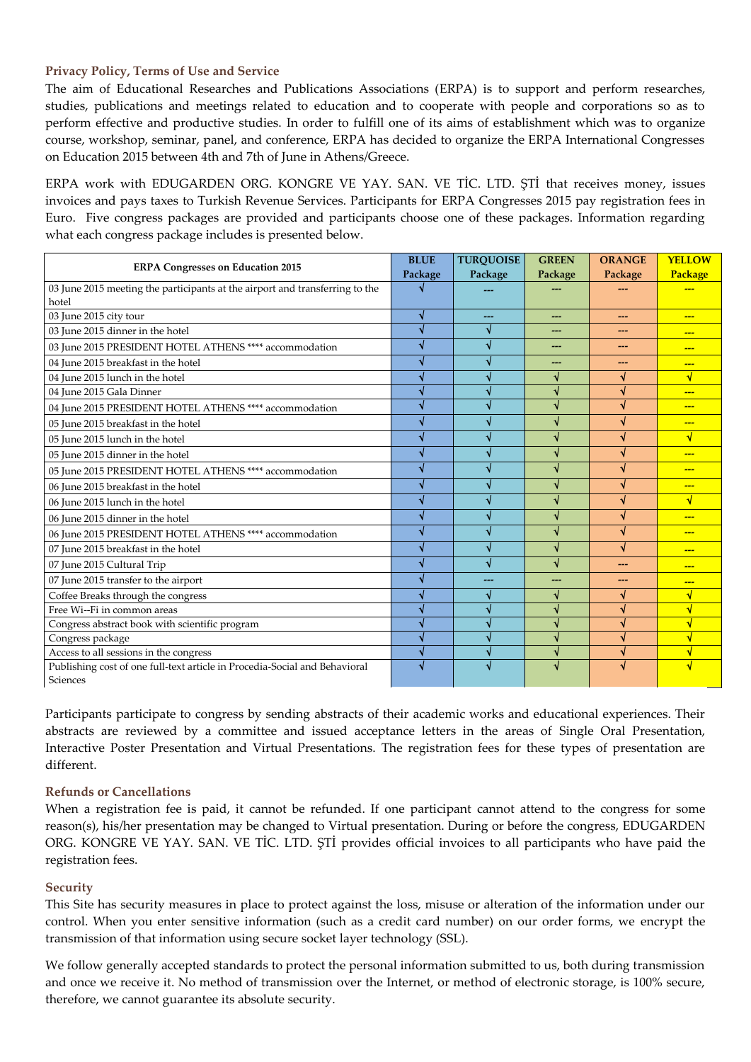## **Privacy Policy, Terms of Use and Service**

The aim of Educational Researches and Publications Associations (ERPA) is to support and perform researches, studies, publications and meetings related to education and to cooperate with people and corporations so as to perform effective and productive studies. In order to fulfill one of its aims of establishment which was to organize course, workshop, seminar, panel, and conference, ERPA has decided to organize the ERPA International Congresses on Education 2015 between 4th and 7th of June in Athens/Greece.

ERPA work with EDUGARDEN ORG. KONGRE VE YAY. SAN. VE TİC. LTD. ŞTİ that receives money, issues invoices and pays taxes to Turkish Revenue Services. Participants for ERPA Congresses 2015 pay registration fees in Euro. Five congress packages are provided and participants choose one of these packages. Information regarding what each congress package includes is presented below.

| <b>ERPA Congresses on Education 2015</b>                                               | <b>BLUE</b> | <b>TURQUOISE</b> | <b>GREEN</b>            | <b>ORANGE</b> | <b>YELLOW</b> |
|----------------------------------------------------------------------------------------|-------------|------------------|-------------------------|---------------|---------------|
|                                                                                        | Package     | Package          | Package                 | Package       | Package       |
| 03 June 2015 meeting the participants at the airport and transferring to the           |             |                  |                         |               |               |
| hotel                                                                                  |             |                  |                         |               |               |
| 03 June 2015 city tour                                                                 |             |                  | ---                     |               |               |
| 03 June 2015 dinner in the hotel                                                       |             |                  |                         |               | $- - -$       |
| 03 June 2015 PRESIDENT HOTEL ATHENS **** accommodation                                 |             |                  | ---                     | ---           | ---           |
| 04 June 2015 breakfast in the hotel                                                    |             |                  |                         |               | $- - -$       |
| 04 June 2015 lunch in the hotel                                                        |             |                  |                         |               | √             |
| 04 June 2015 Gala Dinner                                                               |             |                  |                         |               | $- - -$       |
| 04 June 2015 PRESIDENT HOTEL ATHENS **** accommodation                                 |             |                  | ึง                      | √             | $- - -$       |
| 05 June 2015 breakfast in the hotel                                                    |             |                  | ึง                      |               |               |
| 05 June 2015 lunch in the hotel                                                        |             |                  | √                       |               | √             |
| 05 June 2015 dinner in the hotel                                                       |             |                  | √                       |               | $- - -$       |
| 05 June 2015 PRESIDENT HOTEL ATHENS **** accommodation                                 |             |                  | ึง                      |               | $--$          |
| 06 June 2015 breakfast in the hotel                                                    |             |                  | ึง                      |               | $- - -$       |
| 06 June 2015 lunch in the hotel                                                        |             |                  | V                       | √             | $\sqrt{ }$    |
| 06 June 2015 dinner in the hotel                                                       |             |                  | √                       |               | <u></u>       |
| 06 June 2015 PRESIDENT HOTEL ATHENS **** accommodation                                 |             |                  | J                       | √             | $- - -$       |
| 07 June 2015 breakfast in the hotel                                                    |             |                  | √                       |               | $- - -$       |
| 07 June 2015 Cultural Trip                                                             |             |                  | √                       |               |               |
| 07 June 2015 transfer to the airport                                                   |             |                  | ---                     | ---           | $- - -$       |
| Coffee Breaks through the congress                                                     |             |                  | ึง                      |               |               |
| Free Wi--Fi in common areas                                                            |             |                  |                         |               |               |
| Congress abstract book with scientific program                                         |             |                  | $\overline{\mathbf{v}}$ |               |               |
| Congress package                                                                       |             |                  | Ñ                       |               |               |
| Access to all sessions in the congress                                                 |             |                  | J                       |               |               |
| Publishing cost of one full-text article in Procedia-Social and Behavioral<br>Sciences |             |                  |                         |               |               |

Participants participate to congress by sending abstracts of their academic works and educational experiences. Their abstracts are reviewed by a committee and issued acceptance letters in the areas of Single Oral Presentation, Interactive Poster Presentation and Virtual Presentations. The registration fees for these types of presentation are different.

## **Refunds or Cancellations**

When a registration fee is paid, it cannot be refunded. If one participant cannot attend to the congress for some reason(s), his/her presentation may be changed to Virtual presentation. During or before the congress, EDUGARDEN ORG. KONGRE VE YAY. SAN. VE TİC. LTD. ŞTİ provides official invoices to all participants who have paid the registration fees.

## **Security**

This Site has security measures in place to protect against the loss, misuse or alteration of the information under our control. When you enter sensitive information (such as a credit card number) on our order forms, we encrypt the transmission of that information using secure socket layer technology (SSL).

We follow generally accepted standards to protect the personal information submitted to us, both during transmission and once we receive it. No method of transmission over the Internet, or method of electronic storage, is 100% secure, therefore, we cannot guarantee its absolute security.